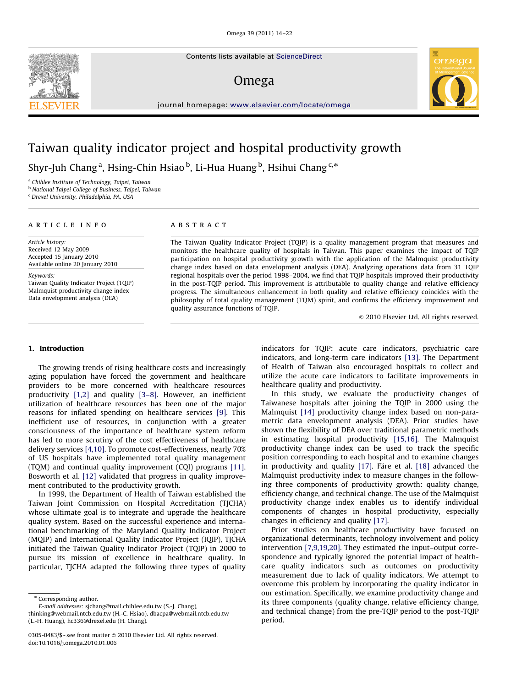Contents lists available at ScienceDirect

## Omega



journal homepage: [www.elsevier.com/locate/omega](www.elsevier.com/ome)

# Taiwan quality indicator project and hospital productivity growth

Shyr-Juh Chang<sup>a</sup>, Hsing-Chin Hsiao <sup>b</sup>, Li-Hua Huang <sup>b</sup>, Hsihui Chang <sup>c,</sup>\*

<sup>a</sup> Chihlee Institute of Technology, Taipei, Taiwan

<sup>b</sup> National Taipei College of Business, Taipei, Taiwan

<sup>c</sup> Drexel University, Philadelphia, PA, USA

#### article info

Article history: Received 12 May 2009 Accepted 15 January 2010 Available online 20 January 2010

Keywords:

Taiwan Quality Indicator Project (TQIP) Malmquist productivity change index Data envelopment analysis (DEA)

### ABSTRACT

The Taiwan Quality Indicator Project (TQIP) is a quality management program that measures and monitors the healthcare quality of hospitals in Taiwan. This paper examines the impact of TQIP participation on hospital productivity growth with the application of the Malmquist productivity change index based on data envelopment analysis (DEA). Analyzing operations data from 31 TQIP regional hospitals over the period 1998–2004, we find that TQIP hospitals improved their productivity in the post-TQIP period. This improvement is attributable to quality change and relative efficiency progress. The simultaneous enhancement in both quality and relative efficiency coincides with the philosophy of total quality management (TQM) spirit, and confirms the efficiency improvement and quality assurance functions of TQIP.

 $\odot$  2010 Elsevier Ltd. All rights reserved.

### 1. Introduction

The growing trends of rising healthcare costs and increasingly aging population have forced the government and healthcare providers to be more concerned with healthcare resources productivity [\[1,2\]](#page--1-0) and quality [\[3–8\]](#page--1-0). However, an inefficient utilization of healthcare resources has been one of the major reasons for inflated spending on healthcare services [\[9\]](#page--1-0). This inefficient use of resources, in conjunction with a greater consciousness of the importance of healthcare system reform has led to more scrutiny of the cost effectiveness of healthcare delivery services [\[4,10\].](#page--1-0) To promote cost-effectiveness, nearly 70% of US hospitals have implemented total quality management (TQM) and continual quality improvement (CQI) programs [\[11\].](#page--1-0) Bosworth et al. [\[12\]](#page--1-0) validated that progress in quality improvement contributed to the productivity growth.

In 1999, the Department of Health of Taiwan established the Taiwan Joint Commission on Hospital Accreditation (TJCHA) whose ultimate goal is to integrate and upgrade the healthcare quality system. Based on the successful experience and international benchmarking of the Maryland Quality Indicator Project (MQIP) and International Quality Indicator Project (IQIP), TJCHA initiated the Taiwan Quality Indicator Project (TQIP) in 2000 to pursue its mission of excellence in healthcare quality. In particular, TJCHA adapted the following three types of quality

\* Corresponding author.

E-mail addresses: [sjchang@mail.chihlee.edu.tw \(S.-J. Chang\),](mailto:sjchang@mail.chihlee.edu.tw) [thinking@webmail.ntcb.edu.tw \(H.-C. Hsiao\)](mailto:thinking@webmail.ntcb.edu.tw), [dbacpa@webmail.ntcb.edu.tw](mailto:dbacpa@webmail.ntcb.edu.tw)

[\(L.-H. Huang\),](mailto:dbacpa@webmail.ntcb.edu.tw) [hc336@drexel.edu \(H. Chang\).](mailto:hc336@drexel.edu)

indicators for TQIP: acute care indicators, psychiatric care indicators, and long-term care indicators [\[13\]](#page--1-0). The Department of Health of Taiwan also encouraged hospitals to collect and utilize the acute care indicators to facilitate improvements in healthcare quality and productivity.

In this study, we evaluate the productivity changes of Taiwanese hospitals after joining the TQIP in 2000 using the Malmquist [\[14\]](#page--1-0) productivity change index based on non-parametric data envelopment analysis (DEA). Prior studies have shown the flexibility of DEA over traditional parametric methods in estimating hospital productivity [\[15,16\].](#page--1-0) The Malmquist productivity change index can be used to track the specific position corresponding to each hospital and to examine changes in productivity and quality  $[17]$ . Färe et al.  $[18]$  advanced the Malmquist productivity index to measure changes in the following three components of productivity growth: quality change, efficiency change, and technical change. The use of the Malmquist productivity change index enables us to identify individual components of changes in hospital productivity, especially changes in efficiency and quality [\[17\]](#page--1-0).

Prior studies on healthcare productivity have focused on organizational determinants, technology involvement and policy intervention [\[7,9,19,20\].](#page--1-0) They estimated the input–output correspondence and typically ignored the potential impact of healthcare quality indicators such as outcomes on productivity measurement due to lack of quality indicators. We attempt to overcome this problem by incorporating the quality indicator in our estimation. Specifically, we examine productivity change and its three components (quality change, relative efficiency change, and technical change) from the pre-TQIP period to the post-TQIP period.



<sup>0305-0483/\$ -</sup> see front matter  $\circ$  2010 Elsevier Ltd. All rights reserved. doi:[10.1016/j.omega.2010.01.006](dx.doi.org/10.1016/j.omega.2010.01.006)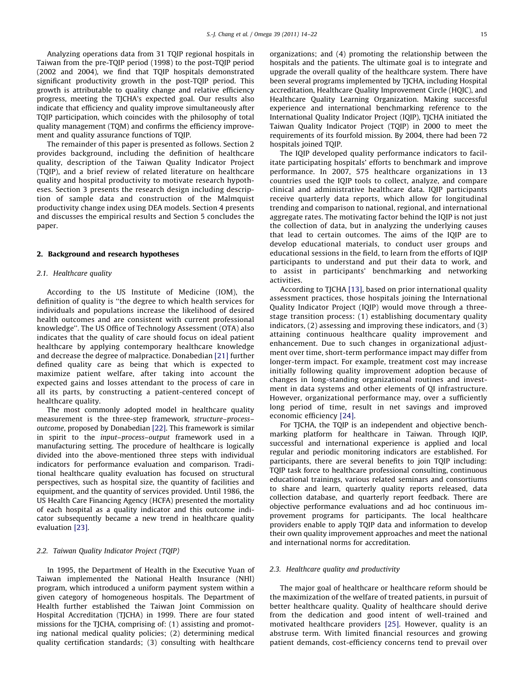Analyzing operations data from 31 TQIP regional hospitals in Taiwan from the pre-TQIP period (1998) to the post-TQIP period (2002 and 2004), we find that TQIP hospitals demonstrated significant productivity growth in the post-TQIP period. This growth is attributable to quality change and relative efficiency progress, meeting the TJCHA's expected goal. Our results also indicate that efficiency and quality improve simultaneously after TQIP participation, which coincides with the philosophy of total quality management (TQM) and confirms the efficiency improvement and quality assurance functions of TQIP.

The remainder of this paper is presented as follows. Section 2 provides background, including the definition of healthcare quality, description of the Taiwan Quality Indicator Project (TQIP), and a brief review of related literature on healthcare quality and hospital productivity to motivate research hypotheses. Section 3 presents the research design including description of sample data and construction of the Malmquist productivity change index using DEA models. Section 4 presents and discusses the empirical results and Section 5 concludes the paper.

#### 2. Background and research hypotheses

#### 2.1. Healthcare quality

According to the US Institute of Medicine (IOM), the definition of quality is ''the degree to which health services for individuals and populations increase the likelihood of desired health outcomes and are consistent with current professional knowledge''. The US Office of Technology Assessment (OTA) also indicates that the quality of care should focus on ideal patient healthcare by applying contemporary healthcare knowledge and decrease the degree of malpractice. Donabedian [\[21\]](#page--1-0) further defined quality care as being that which is expected to maximize patient welfare, after taking into account the expected gains and losses attendant to the process of care in all its parts, by constructing a patient-centered concept of healthcare quality.

The most commonly adopted model in healthcare quality measurement is the three-step framework, structure–process– outcome, proposed by Donabedian [\[22\]](#page--1-0). This framework is similar in spirit to the input–process–output framework used in a manufacturing setting. The procedure of healthcare is logically divided into the above-mentioned three steps with individual indicators for performance evaluation and comparison. Traditional healthcare quality evaluation has focused on structural perspectives, such as hospital size, the quantity of facilities and equipment, and the quantity of services provided. Until 1986, the US Health Care Financing Agency (HCFA) presented the mortality of each hospital as a quality indicator and this outcome indicator subsequently became a new trend in healthcare quality evaluation [\[23\]](#page--1-0).

#### 2.2. Taiwan Quality Indicator Project (TQIP)

In 1995, the Department of Health in the Executive Yuan of Taiwan implemented the National Health Insurance (NHI) program, which introduced a uniform payment system within a given category of homogeneous hospitals. The Department of Health further established the Taiwan Joint Commission on Hospital Accreditation (TJCHA) in 1999. There are four stated missions for the TJCHA, comprising of: (1) assisting and promoting national medical quality policies; (2) determining medical quality certification standards; (3) consulting with healthcare organizations; and (4) promoting the relationship between the hospitals and the patients. The ultimate goal is to integrate and upgrade the overall quality of the healthcare system. There have been several programs implemented by TJCHA, including Hospital accreditation, Healthcare Quality Improvement Circle (HQIC), and Healthcare Quality Learning Organization. Making successful experience and international benchmarking reference to the International Quality Indicator Project (IQIP), TJCHA initiated the Taiwan Quality Indicator Project (TQIP) in 2000 to meet the requirements of its fourfold mission. By 2004, there had been 72 hospitals joined TQIP.

The IQIP developed quality performance indicators to facilitate participating hospitals' efforts to benchmark and improve performance. In 2007, 575 healthcare organizations in 13 countries used the IQIP tools to collect, analyze, and compare clinical and administrative healthcare data. IQIP participants receive quarterly data reports, which allow for longitudinal trending and comparison to national, regional, and international aggregate rates. The motivating factor behind the IQIP is not just the collection of data, but in analyzing the underlying causes that lead to certain outcomes. The aims of the IQIP are to develop educational materials, to conduct user groups and educational sessions in the field, to learn from the efforts of IQIP participants to understand and put their data to work, and to assist in participants' benchmarking and networking activities.

According to TJCHA [\[13\]](#page--1-0), based on prior international quality assessment practices, those hospitals joining the International Quality Indicator Project (IQIP) would move through a threestage transition process: (1) establishing documentary quality indicators, (2) assessing and improving these indicators, and (3) attaining continuous healthcare quality improvement and enhancement. Due to such changes in organizational adjustment over time, short-term performance impact may differ from longer-term impact. For example, treatment cost may increase initially following quality improvement adoption because of changes in long-standing organizational routines and investment in data systems and other elements of QI infrastructure. However, organizational performance may, over a sufficiently long period of time, result in net savings and improved economic efficiency [\[24\].](#page--1-0)

For TJCHA, the TQIP is an independent and objective benchmarking platform for healthcare in Taiwan. Through IQIP, successful and international experience is applied and local regular and periodic monitoring indicators are established. For participants, there are several benefits to join TQIP including: TQIP task force to healthcare professional consulting, continuous educational trainings, various related seminars and consortiums to share and learn, quarterly quality reports released, data collection database, and quarterly report feedback. There are objective performance evaluations and ad hoc continuous improvement programs for participants. The local healthcare providers enable to apply TQIP data and information to develop their own quality improvement approaches and meet the national and international norms for accreditation.

#### 2.3. Healthcare quality and productivity

The major goal of healthcare or healthcare reform should be the maximization of the welfare of treated patients, in pursuit of better healthcare quality. Quality of healthcare should derive from the dedication and good intent of well-trained and motivated healthcare providers [\[25\].](#page--1-0) However, quality is an abstruse term. With limited financial resources and growing patient demands, cost-efficiency concerns tend to prevail over